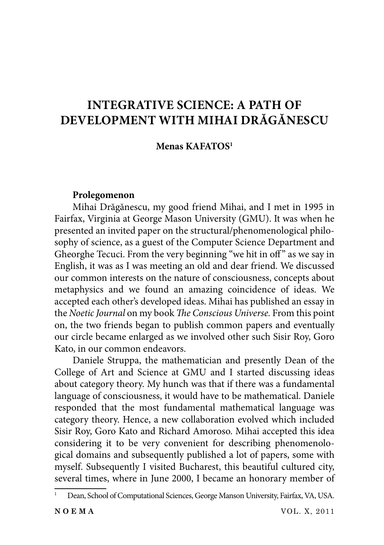# **INTEGRATIVE SCIENCE: A PATH OF DEVELOPMENT WITH MIHAI DRĂGĂNESCU**

# **Menas KAFATOS1**

### **Prolegomenon**

Mihai Drăgănescu, my good friend Mihai, and I met in 1995 in Fairfax, Virginia at George Mason University (GMU). It was when he presented an invited paper on the structural/phenomenological philosophy of science, as a guest of the Computer Science Department and Gheorghe Tecuci. From the very beginning "we hit in off" as we say in English, it was as I was meeting an old and dear friend. We discussed our common interests on the nature of consciousness, concepts about metaphysics and we found an amazing coincidence of ideas. We accepted each other's developed ideas. Mihai has published an essay in the *Noetic Journal* on my book *The Conscious Universe*. From this point on, the two friends began to publish common papers and eventually our circle became enlarged as we involved other such Sisir Roy, Goro Kato, in our common endeavors.

Daniele Struppa, the mathematician and presently Dean of the College of Art and Science at GMU and I started discussing ideas about category theory. My hunch was that if there was a fundamental language of consciousness, it would have to be mathematical. Daniele responded that the most fundamental mathematical language was category theory. Hence, a new collaboration evolved which included Sisir Roy, Goro Kato and Richard Amoroso. Mihai accepted this idea considering it to be very convenient for describing phenomenological domains and subsequently published a lot of papers, some with myself. Subsequently I visited Bucharest, this beautiful cultured city, several times, where in June 2000, I became an honorary member of

<sup>1</sup> Dean, School of Computational Sciences, George Manson University, Fairfax, VA, USA.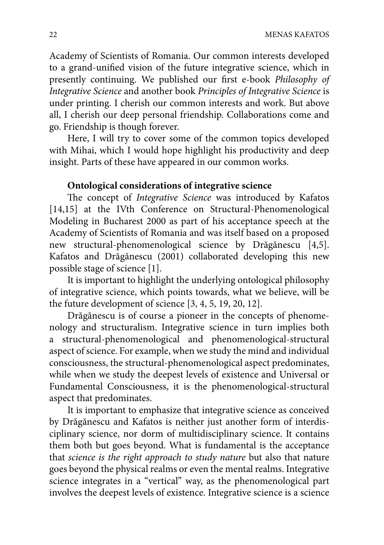Academy of Scientists of Romania. Our common interests developed to a grand-unified vision of the future integrative science, which in presently continuing. We published our first e-book *Philosophy of Integrative Science* and another book *Principles of Integrative Science* is under printing. I cherish our common interests and work. But above all, I cherish our deep personal friendship. Collaborations come and go. Friendship is though forever.

Here, I will try to cover some of the common topics developed with Mihai, which I would hope highlight his productivity and deep insight. Parts of these have appeared in our common works.

# **Ontological considerations of integrative science**

The concept of *Integrative Science* was introduced by Kafatos [14,15] at the IVth Conference on Structural-Phenomenological Modeling in Bucharest 2000 as part of his acceptance speech at the Academy of Scientists of Romania and was itself based on a proposed new structural-phenomenological science by Drăgănescu [4,5]. Kafatos and Drăgănescu (2001) collaborated developing this new possible stage of science [1].

It is important to highlight the underlying ontological philosophy of integrative science, which points towards, what we believe, will be the future development of science [3, 4, 5, 19, 20, 12].

Drăgănescu is of course a pioneer in the concepts of phenomenology and structuralism. Integrative science in turn implies both a structural-phenomenological and phenomenological-structural aspect of science. For example, when we study the mind and individual consciousness, the structural-phenomenological aspect predominates, while when we study the deepest levels of existence and Universal or Fundamental Consciousness, it is the phenomenological-structural aspect that predominates.

It is important to emphasize that integrative science as conceived by Drăgănescu and Kafatos is neither just another form of interdisciplinary science, nor dorm of multidisciplinary science. It contains them both but goes beyond. What is fundamental is the acceptance that *science is the right approach to study nature* but also that nature goes beyond the physical realms or even the mental realms. Integrative science integrates in a "vertical" way, as the phenomenological part involves the deepest levels of existence. Integrative science is a science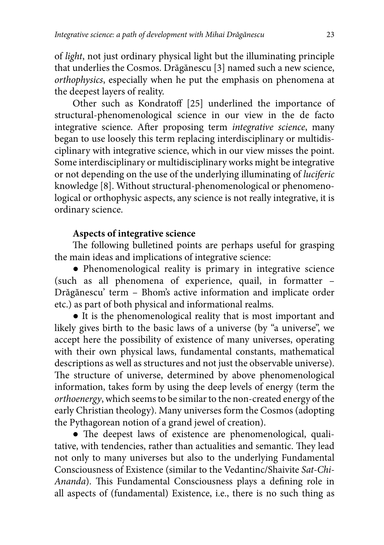of *light*, not just ordinary physical light but the illuminating principle that underlies the Cosmos. Drăgănescu [3] named such a new science, *orthophysics*, especially when he put the emphasis on phenomena at the deepest layers of reality.

Other such as Kondratoff [25] underlined the importance of structural-phenomenological science in our view in the de facto integrative science. After proposing term *integrative science*, many began to use loosely this term replacing interdisciplinary or multidisciplinary with integrative science, which in our view misses the point. Some interdisciplinary or multidisciplinary works might be integrative or not depending on the use of the underlying illuminating of *luciferic* knowledge [8]. Without structural-phenomenological or phenomenological or orthophysic aspects, any science is not really integrative, it is ordinary science.

# **Aspects of integrative science**

The following bulletined points are perhaps useful for grasping the main ideas and implications of integrative science:

● Phenomenological reality is primary in integrative science (such as all phenomena of experience, quail, in formatter – Drăgănescu' term – Bhom's active information and implicate order etc.) as part of both physical and informational realms.

● It is the phenomenological reality that is most important and likely gives birth to the basic laws of a universe (by "a universe", we accept here the possibility of existence of many universes, operating with their own physical laws, fundamental constants, mathematical descriptions as well as structures and not just the observable universe). The structure of universe, determined by above phenomenological information, takes form by using the deep levels of energy (term the *orthoenergy*, which seems to be similar to the non-created energy of the early Christian theology). Many universes form the Cosmos (adopting the Pythagorean notion of a grand jewel of creation).

 $\bullet$  The deepest laws of existence are phenomenological, qualitative, with tendencies, rather than actualities and semantic. They lead not only to many universes but also to the underlying Fundamental Consciousness of Existence (similar to the Vedantinc/Shaivite *Sat-Chi-Ananda*). This Fundamental Consciousness plays a defining role in all aspects of (fundamental) Existence, i.e., there is no such thing as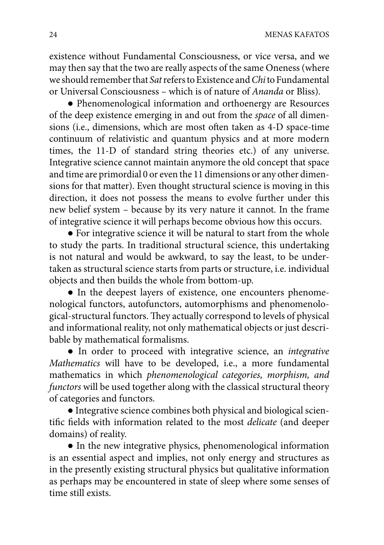existence without Fundamental Consciousness, or vice versa, and we may then say that the two are really aspects of the same Oneness (where we should remember that *Sat* refers to Existence and *Chi* to Fundamental or Universal Consciousness – which is of nature of *Ananda* or Bliss).

● Phenomenological information and orthoenergy are Resources of the deep existence emerging in and out from the *space* of all dimensions (i.e., dimensions, which are most often taken as 4-D space-time continuum of relativistic and quantum physics and at more modern times, the 11-D of standard string theories etc.) of any universe. Integrative science cannot maintain anymore the old concept that space and time are primordial 0 or even the 11 dimensions or any other dimensions for that matter). Even thought structural science is moving in this direction, it does not possess the means to evolve further under this new belief system – because by its very nature it cannot. In the frame of integrative science it will perhaps become obvious how this occurs.

● For integrative science it will be natural to start from the whole to study the parts. In traditional structural science, this undertaking is not natural and would be awkward, to say the least, to be undertaken as structural science starts from parts or structure, i.e. individual objects and then builds the whole from bottom-up.

• In the deepest layers of existence, one encounters phenomenological functors, autofunctors, automorphisms and phenomenological-structural functors. They actually correspond to levels of physical and informational reality, not only mathematical objects or just describable by mathematical formalisms.

● In order to proceed with integrative science, an *integrative Mathematics* will have to be developed, i.e., a more fundamental mathematics in which *phenomenological categories, morphism, and functors* will be used together along with the classical structural theory of categories and functors.

● Integrative science combines both physical and biological scientific fields with information related to the most *delicate* (and deeper domains) of reality.

● In the new integrative physics, phenomenological information is an essential aspect and implies, not only energy and structures as in the presently existing structural physics but qualitative information as perhaps may be encountered in state of sleep where some senses of time still exists.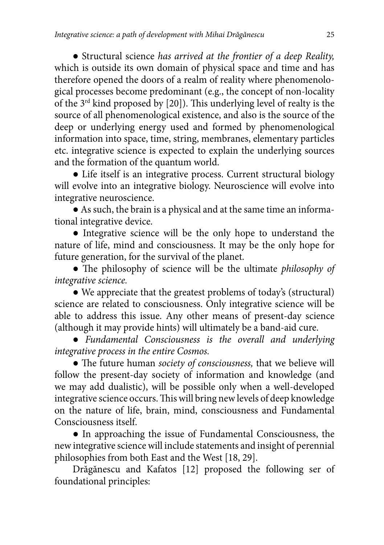● Structural science *has arrived at the frontier of a deep Reality,* which is outside its own domain of physical space and time and has therefore opened the doors of a realm of reality where phenomenological processes become predominant (e.g., the concept of non-locality of the  $3^{rd}$  kind proposed by [20]). This underlying level of realty is the source of all phenomenological existence, and also is the source of the deep or underlying energy used and formed by phenomenological information into space, time, string, membranes, elementary particles etc. integrative science is expected to explain the underlying sources and the formation of the quantum world.

• Life itself is an integrative process. Current structural biology will evolve into an integrative biology. Neuroscience will evolve into integrative neuroscience.

● As such, the brain is a physical and at the same time an informational integrative device.

● Integrative science will be the only hope to understand the nature of life, mind and consciousness. It may be the only hope for future generation, for the survival of the planet.

• The philosophy of science will be the ultimate *philosophy of integrative science.*

• We appreciate that the greatest problems of today's (structural) science are related to consciousness. Only integrative science will be able to address this issue. Any other means of present-day science (although it may provide hints) will ultimately be a band-aid cure.

● *Fundamental Consciousness is the overall and underlying integrative process in the entire Cosmos.*

• The future human *society of consciousness*, that we believe will follow the present-day society of information and knowledge (and we may add dualistic), will be possible only when a well-developed integrative science occurs. This will bring new levels of deep knowledge on the nature of life, brain, mind, consciousness and Fundamental Consciousness itself.

● In approaching the issue of Fundamental Consciousness, the new integrative science will include statements and insight of perennial philosophies from both East and the West [18, 29].

Drăgănescu and Kafatos [12] proposed the following ser of foundational principles: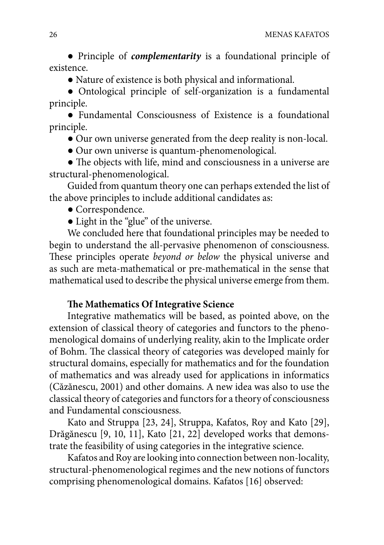● Principle of *complementarity* is a foundational principle of existence.

● Nature of existence is both physical and informational.

● Ontological principle of self-organization is a fundamental principle.

● Fundamental Consciousness of Existence is a foundational principle.

● Our own universe generated from the deep reality is non-local.

● Our own universe is quantum-phenomenological.

 $\bullet$  The objects with life, mind and consciousness in a universe are structural-phenomenological.

Guided from quantum theory one can perhaps extended the list of the above principles to include additional candidates as:

- Correspondence.
- Light in the "glue" of the universe.

We concluded here that foundational principles may be needed to begin to understand the all-pervasive phenomenon of consciousness. These principles operate *beyond or below* the physical universe and as such are meta-mathematical or pre-mathematical in the sense that mathematical used to describe the physical universe emerge from them.

# **The Mathematics Of Integrative Science**

Integrative mathematics will be based, as pointed above, on the extension of classical theory of categories and functors to the phenomenological domains of underlying reality, akin to the Implicate order of Bohm. The classical theory of categories was developed mainly for structural domains, especially for mathematics and for the foundation of mathematics and was already used for applications in informatics (Căzănescu, 2001) and other domains. A new idea was also to use the classical theory of categories and functors for a theory of consciousness and Fundamental consciousness.

Kato and Struppa [23, 24], Struppa, Kafatos, Roy and Kato [29], Drăgănescu [9, 10, 11], Kato [21, 22] developed works that demonstrate the feasibility of using categories in the integrative science.

Kafatos and Roy are looking into connection between non-locality, structural-phenomenological regimes and the new notions of functors comprising phenomenological domains. Kafatos [16] observed: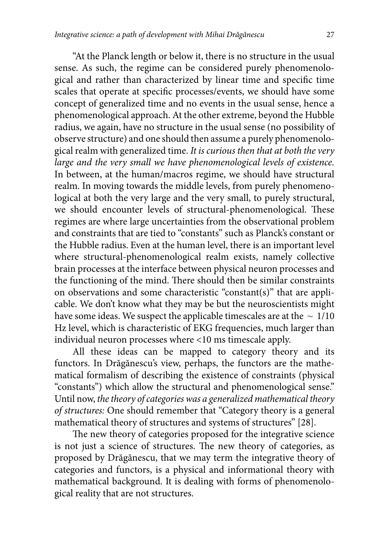"At the Planck length or below it, there is no structure in the usual sense. As such, the regime can be considered purely phenomenological and rather than characterized by linear time and specific time scales that operate at specific processes/events, we should have some concept of generalized time and no events in the usual sense, hence a phenomenological approach. At the other extreme, beyond the Hubble radius, we again, have no structure in the usual sense (no possibility of observe structure) and one should then assume a purely phenomenological realm with generalized time. *It is curious then that at both the very large and the very small we have phenomenological levels of existence.* In between, at the human/macros regime, we should have structural realm. In moving towards the middle levels, from purely phenomenological at both the very large and the very small, to purely structural, we should encounter levels of structural-phenomenological. These regimes are where large uncertainties from the observational problem and constraints that are tied to "constants" such as Planck's constant or the Hubble radius. Even at the human level, there is an important level where structural-phenomenological realm exists, namely collective brain processes at the interface between physical neuron processes and the functioning of the mind. There should then be similar constraints on observations and some characteristic "constant(s)" that are applicable. We don't know what they may be but the neuroscientists might have some ideas. We suspect the applicable timescales are at the  $\sim 1/10$ Hz level, which is characteristic of EKG frequencies, much larger than individual neuron processes where <10 ms timescale apply.

All these ideas can be mapped to category theory and its functors. In Drăgănescu's view, perhaps, the functors are the mathematical formalism of describing the existence of constraints (physical "constants") which allow the structural and phenomenological sense." Until now, *the theory of categories was a generalized mathematical theory of structures:* One should remember that "Category theory is a general mathematical theory of structures and systems of structures" [28].

The new theory of categories proposed for the integrative science is not just a science of structures. The new theory of categories, as proposed by Drăgănescu, that we may term the integrative theory of categories and functors, is a physical and informational theory with mathematical background. It is dealing with forms of phenomenological reality that are not structures.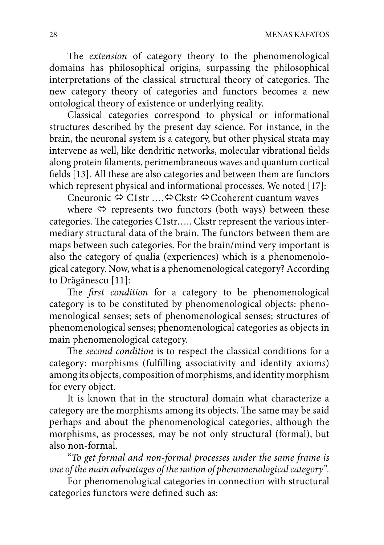The *extension* of category theory to the phenomenological domains has philosophical origins, surpassing the philosophical interpretations of the classical structural theory of categories. The new category theory of categories and functors becomes a new ontological theory of existence or underlying reality.

Classical categories correspond to physical or informational structures described by the present day science. For instance, in the brain, the neuronal system is a category, but other physical strata may intervene as well, like dendritic networks, molecular vibrational fields along protein filaments, perimembraneous waves and quantum cortical fields [13]. All these are also categories and between them are functors which represent physical and informational processes. We noted [17]:

Cneuronic  $\triangle$  C1str ... $\triangle$  Ckstr  $\triangle$  Ccoherent cuantum waves

where  $\Leftrightarrow$  represents two functors (both ways) between these categories. The categories C1str..... Ckstr represent the various intermediary structural data of the brain. The functors between them are maps between such categories. For the brain/mind very important is also the category of qualia (experiences) which is a phenomenological category. Now, what is a phenomenological category? According to Drăgănescu [11]:

The *first condition* for a category to be phenomenological category is to be constituted by phenomenological objects: phenomenological senses; sets of phenomenological senses; structures of phenomenological senses; phenomenological categories as objects in main phenomenological category.

The *second condition* is to respect the classical conditions for a category: morphisms (fulfilling associativity and identity axioms) among its objects, composition of morphisms, and identity morphism for every object.

It is known that in the structural domain what characterize a category are the morphisms among its objects. The same may be said perhaps and about the phenomenological categories, although the morphisms, as processes, may be not only structural (formal), but also non-formal.

"*To get formal and non-formal processes under the same frame is one of the main advantages of the notion of phenomenological category".*

For phenomenological categories in connection with structural categories functors were defined such as: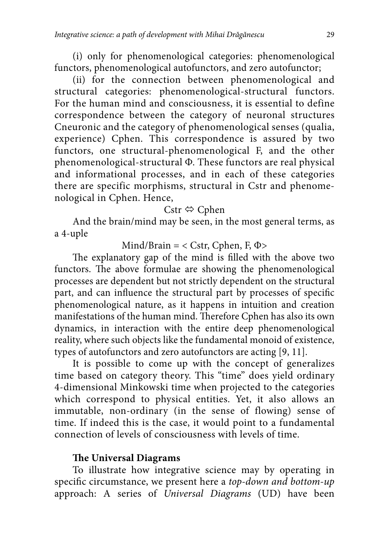(i) only for phenomenological categories: phenomenological functors, phenomenological autofunctors, and zero autofunctor;

(ii) for the connection between phenomenological and structural categories: phenomenological-structural functors. For the human mind and consciousness, it is essential to define correspondence between the category of neuronal structures Cneuronic and the category of phenomenological senses (qualia, experience) Cphen. This correspondence is assured by two functors, one structural-phenomenological F, and the other phenomenological-structural Φ. These functors are real physical and informational processes, and in each of these categories there are specific morphisms, structural in Cstr and phenomenological in Cphen. Hence,

# Cstr  $\Leftrightarrow$  Cphen

And the brain/mind may be seen, in the most general terms, as a 4-uple

Mind/Brain =  $<$  Cstr, Cphen, F, Φ $>$ 

The explanatory gap of the mind is filled with the above two functors. The above formulae are showing the phenomenological processes are dependent but not strictly dependent on the structural part, and can influence the structural part by processes of specific phenomenological nature, as it happens in intuition and creation manifestations of the human mind. Therefore Cphen has also its own dynamics, in interaction with the entire deep phenomenological reality, where such objects like the fundamental monoid of existence, types of autofunctors and zero autofunctors are acting [9, 11].

It is possible to come up with the concept of generalizes time based on category theory. This "time" does yield ordinary 4-dimensional Minkowski time when projected to the categories which correspond to physical entities. Yet, it also allows an immutable, non-ordinary (in the sense of flowing) sense of time. If indeed this is the case, it would point to a fundamental connection of levels of consciousness with levels of time.

## **The Universal Diagrams**

To illustrate how integrative science may by operating in specific circumstance, we present here a *top-down and bottom-up* approach: A series of *Universal Diagrams* (UD) have been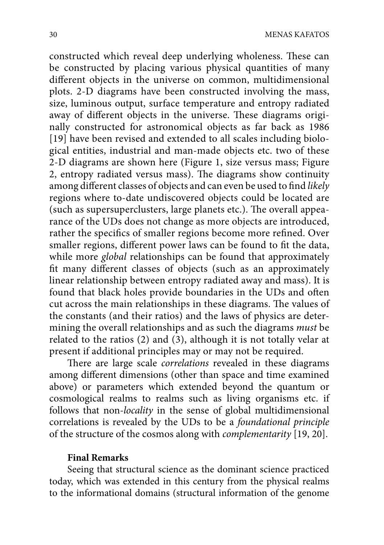constructed which reveal deep underlying wholeness. These can be constructed by placing various physical quantities of many different objects in the universe on common, multidimensional plots. 2-D diagrams have been constructed involving the mass, size, luminous output, surface temperature and entropy radiated away of different objects in the universe. These diagrams originally constructed for astronomical objects as far back as 1986 [19] have been revised and extended to all scales including biological entities, industrial and man-made objects etc. two of these 2-D diagrams are shown here (Figure 1, size versus mass; Figure 2, entropy radiated versus mass). The diagrams show continuity among different classes of objects and can even be used to find *likely* regions where to-date undiscovered objects could be located are (such as supersuperclusters, large planets etc.). The overall appearance of the UDs does not change as more objects are introduced, rather the specifics of smaller regions become more refined. Over smaller regions, different power laws can be found to fit the data, while more *global* relationships can be found that approximately fit many different classes of objects (such as an approximately linear relationship between entropy radiated away and mass). It is found that black holes provide boundaries in the UDs and often cut across the main relationships in these diagrams. The values of the constants (and their ratios) and the laws of physics are determining the overall relationships and as such the diagrams *must* be related to the ratios (2) and (3), although it is not totally velar at present if additional principles may or may not be required.

There are large scale *correlations* revealed in these diagrams among different dimensions (other than space and time examined above) or parameters which extended beyond the quantum or cosmological realms to realms such as living organisms etc. if follows that non*-locality* in the sense of global multidimensional correlations is revealed by the UDs to be a *foundational principle* of the structure of the cosmos along with *complementarity* [19, 20].

#### **Final Remarks**

Seeing that structural science as the dominant science practiced today, which was extended in this century from the physical realms to the informational domains (structural information of the genome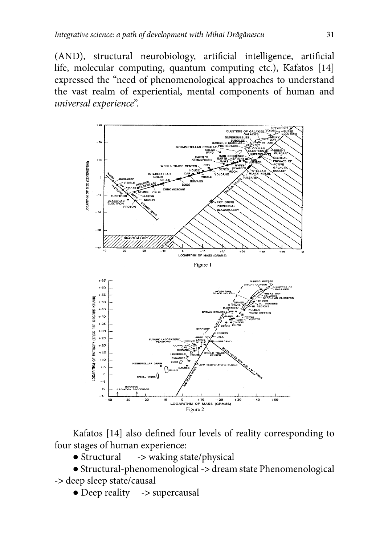(AND), structural neurobiology, artificial intelligence, artificial life, molecular computing, quantum computing etc.), Kafatos [14] expressed the "need of phenomenological approaches to understand the vast realm of experiential, mental components of human and *universal experience*".



Kafatos [14] also defined four levels of reality corresponding to four stages of human experience:

● Structural -**>** waking state/physical

● Structural-phenomenological -**>** dream state Phenomenological -**>** deep sleep state/causal

● Deep reality -**>** supercausal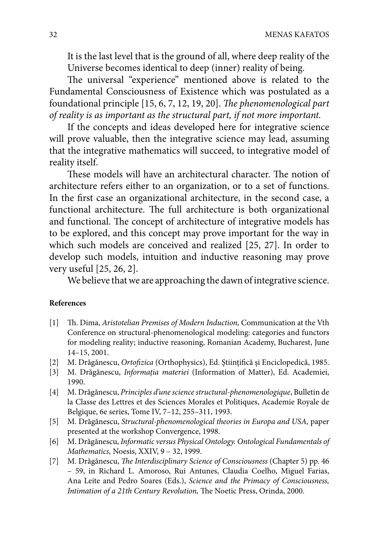It is the last level that is the ground of all, where deep reality of the Universe becomes identical to deep (inner) reality of being.

The universal "experience" mentioned above is related to the Fundamental Consciousness of Existence which was postulated as a foundational principle [15, 6, 7, 12, 19, 20]. *The phenomenological part of reality is as important as the structural part, if not more important.*

If the concepts and ideas developed here for integrative science will prove valuable, then the integrative science may lead, assuming that the integrative mathematics will succeed, to integrative model of reality itself.

These models will have an architectural character. The notion of architecture refers either to an organization, or to a set of functions. In the first case an organizational architecture, in the second case, a functional architecture. The full architecture is both organizational and functional. The concept of architecture of integrative models has to be explored, and this concept may prove important for the way in which such models are conceived and realized [25, 27]. In order to develop such models, intuition and inductive reasoning may prove very useful [25, 26, 2].

We believe that we are approaching the dawn of integrative science.

#### **References**

- [1] Th . Dima, *Aristotelian Premises of Modern Induction,* Communication at the Vth Conference on structural-phenomenological modeling: categories and functors for modeling reality; inductive reasoning, Romanian Academy, Bucharest, June 14–15, 2001.
- [2] M. Drăgănescu, *Ortofizica* (Orthophysics), Ed. Științifică și Enciclopedică, 1985.
- [3] M. Drăgănescu, *Informaţia materiei* (Information of Matter), Ed. Academiei, 1990.
- [4] M. Drăgănescu, *Principles d'une science structural-phenomenologique*, Bulletin de la Classe des Lettres et des Sciences Morales et Politiques, Academie Royale de Belgique, 6e series, Tome IV, 7–12, 255–311, 1993.
- [5] M. Drăgănescu, *Structural-phenomenological theories in Europa and USA,* paper presented at the workshop Convergence, 1998.
- [6] M. Drăgănescu, *Informatic versus Physical Ontology. Ontological Fundamentals of Mathematics,* Noesis, XXIV, 9 – 32, 1999.
- [7] M. Drăgănescu, *The Interdisciplinary Science of Consciousness* (Chapter 5) pp. 46 – 59, in Richard L. Amoroso, Rui Antunes, Claudia Coelho, Miguel Farias, Ana Leite and Pedro Soares (Eds.), *Science and the Primacy of Consciousness, Intimation of a 21th Century Revolution, The Noetic Press, Orinda, 2000.*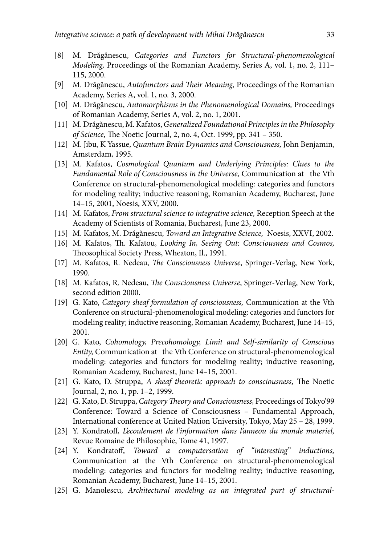- [8] M. Drăgănescu, *Categories and Functors for Structural-phenomenological Modeling,* Proceedings of the Romanian Academy, Series A, vol. 1, no. 2, 111– 115, 2000.
- [9] M. Drăgănescu, *Autofunctors and Their Meaning*, Proceedings of the Romanian Academy, Series A, vol. 1, no. 3, 2000.
- [10] M. Drăgănescu, *Automorphisms in the Phenomenological Domains,* Proceedings of Romanian Academy, Series A, vol. 2, no. 1, 2001.
- [11] M. Drăgănescu, M. Kafatos, *Generalized Foundational Principles in the Philosophy of Science*, The Noetic Journal, 2, no. 4, Oct. 1999, pp. 341 - 350.
- [12] M. Jibu, K Yassue, *Quantum Brain Dynamics and Consciousness,* John Benjamin, Amsterdam, 1995.
- [13] M. Kafatos, *Cosmological Quantum and Underlying Principles: Clues to the Fundamental Role of Consciousness in the Universe,* Communication at the Vth Conference on structural-phenomenological modeling: categories and functors for modeling reality; inductive reasoning, Romanian Academy, Bucharest, June 14–15, 2001, Noesis, XXV, 2000.
- [14] M. Kafatos, *From structural science to integrative science,* Reception Speech at the Academy of Scientists of Romania, Bucharest, June 23, 2000.
- [15] M. Kafatos, M. Drăgănescu, *Toward an Integrative Science,* Noesis, XXVI, 2002.
- [16] M. Kafatos, Th. Kafatou, *Looking In, Seeing Out: Consciousness and Cosmos,* Theosophical Society Press, Wheaton, Il., 1991.
- [17] M. Kafatos, R. Nedeau, *The Consciousness Universe*, Springer-Verlag, New York, 1990.
- [18] M. Kafatos, R. Nedeau, *The Consciousness Universe*, Springer-Verlag, New York, second edition 2000.
- [19] G. Kato, *Category sheaf formulation of consciousness,* Communication at the Vth Conference on structural-phenomenological modeling: categories and functors for modeling reality; inductive reasoning, Romanian Academy, Bucharest, June 14–15, 2001.
- [20] G. Kato, *Cohomology, Precohomology, Limit and Self-similarity of Conscious Entity,* Communication at the Vth Conference on structural-phenomenological modeling: categories and functors for modeling reality; inductive reasoning, Romanian Academy, Bucharest, June 14–15, 2001.
- [21] G. Kato, D. Struppa, *A sheaf theoretic approach to consciousness*, The Noetic Journal, 2, no. 1, pp. 1–2, 1999.
- [22] G. Kato, D. Struppa, *Category Theory and Consciousness*, Proceedings of Tokyo'99 Conference: Toward a Science of Consciousness – Fundamental Approach, International conference at United Nation University, Tokyo, May 25 – 28, 1999.
- [23] Y. Kondratoff, *Lecoulement de l'information dans l'anneou du monde materiel*, Revue Romaine de Philosophie, Tome 41, 1997.
- [24] Y. Kondratoff, *Toward a computersation of "interesting" inductions*, Communication at the Vth Conference on structural-phenomenological modeling: categories and functors for modeling reality; inductive reasoning, Romanian Academy, Bucharest, June 14–15, 2001.
- [25] G. Manolescu, *Architectural modeling as an integrated part of structural-*